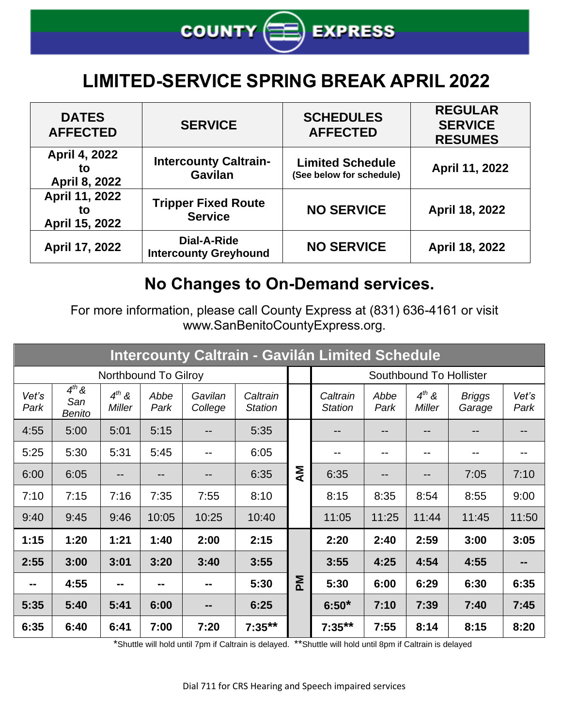

## **LIMITED-SERVICE SPRING BREAK APRIL 2022**

| <b>DATES</b><br><b>AFFECTED</b>        | <b>SERVICE</b>                                 | <b>SCHEDULES</b><br><b>AFFECTED</b>                 | <b>REGULAR</b><br><b>SERVICE</b><br><b>RESUMES</b> |
|----------------------------------------|------------------------------------------------|-----------------------------------------------------|----------------------------------------------------|
| April 4, 2022<br>to<br>April 8, 2022   | <b>Intercounty Caltrain-</b><br><b>Gavilan</b> | <b>Limited Schedule</b><br>(See below for schedule) | April 11, 2022                                     |
| April 11, 2022<br>to<br>April 15, 2022 | <b>Tripper Fixed Route</b><br><b>Service</b>   | <b>NO SERVICE</b>                                   | April 18, 2022                                     |
| April 17, 2022                         | Dial-A-Ride<br><b>Intercounty Greyhound</b>    | <b>NO SERVICE</b>                                   | April 18, 2022                                     |

## **No Changes to On-Demand services.**

For more information, please call County Express at (831) 636-4161 or visit www.SanBenitoCountyExpress.org.

| Intercounty Caltrain - Gavilán Limited Schedule |                                    |                      |              |                    |                            |                         |                            |              |                             |                         |               |
|-------------------------------------------------|------------------------------------|----------------------|--------------|--------------------|----------------------------|-------------------------|----------------------------|--------------|-----------------------------|-------------------------|---------------|
| Northbound To Gilroy                            |                                    |                      |              |                    |                            | Southbound To Hollister |                            |              |                             |                         |               |
| Vet's<br>Park                                   | $4^{th}$ &<br>San<br><b>Benito</b> | $4^{th}$ &<br>Miller | Abbe<br>Park | Gavilan<br>College | Caltrain<br><b>Station</b> |                         | Caltrain<br><b>Station</b> | Abbe<br>Park | $4^{th}$ &<br><b>Miller</b> | <b>Briggs</b><br>Garage | Vet's<br>Park |
| 4:55                                            | 5:00                               | 5:01                 | 5:15         |                    | 5:35                       |                         |                            |              |                             |                         |               |
| 5:25                                            | 5:30                               | 5:31                 | 5:45         | --                 | 6:05                       |                         | --                         | --           | --                          |                         | --            |
| 6:00                                            | 6:05                               |                      |              |                    | 6:35                       | Μ                       | 6:35                       |              |                             | 7:05                    | 7:10          |
| 7:10                                            | 7:15                               | 7:16                 | 7:35         | 7:55               | 8:10                       |                         | 8:15                       | 8:35         | 8:54                        | 8:55                    | 9:00          |
| 9:40                                            | 9:45                               | 9:46                 | 10:05        | 10:25              | 10:40                      |                         | 11:05                      | 11:25        | 11:44                       | 11:45                   | 11:50         |
| 1:15                                            | 1:20                               | 1:21                 | 1:40         | 2:00               | 2:15                       |                         | 2:20                       | 2:40         | 2:59                        | 3:00                    | 3:05          |
| 2:55                                            | 3:00                               | 3:01                 | 3:20         | 3:40               | 3:55                       | MA                      | 3:55                       | 4:25         | 4:54                        | 4:55                    |               |
|                                                 | 4:55                               | --                   |              | --                 | 5:30                       |                         | 5:30                       | 6:00         | 6:29                        | 6:30                    | 6:35          |
| 5:35                                            | 5:40                               | 5:41                 | 6:00         | $- -$              | 6:25                       |                         | $6:50*$                    | 7:10         | 7:39                        | 7:40                    | 7:45          |
| 6:35                                            | 6:40                               | 6:41                 | 7:00         | 7:20               | $7:35***$                  |                         | $7:35***$                  | 7:55         | 8:14                        | 8:15                    | 8:20          |

\*Shuttle will hold until 7pm if Caltrain is delayed. \*\*Shuttle will hold until 8pm if Caltrain is delayed